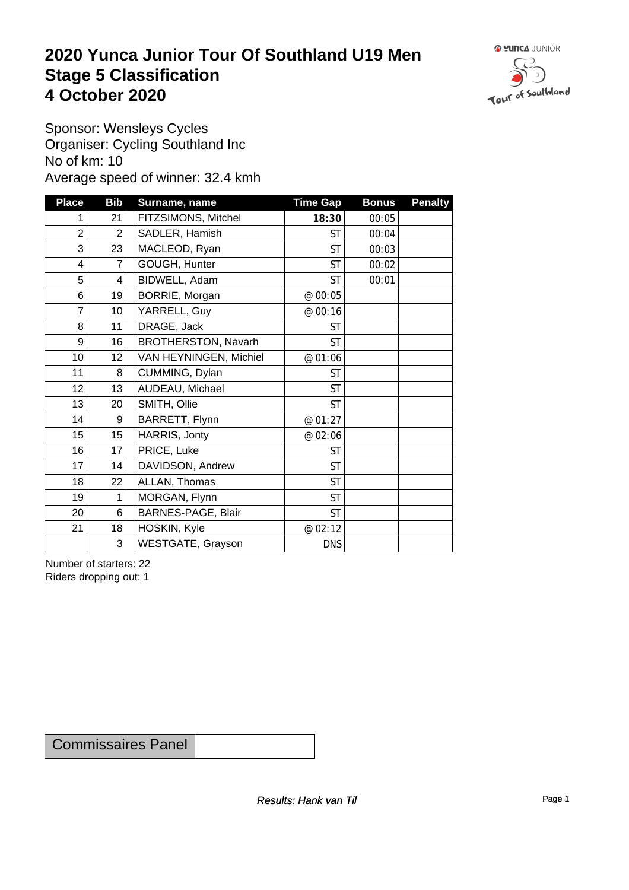### **2020 Yunca Junior Tour Of Southland U19 Men** Stage 5 Classification<br>4 October 2020 **4 October 2020**



Sponsor: Wensleys Cycles Organiser: Cycling Southland Inc No of km: 10 Average speed of winner: 32.4 kmh

| <b>Place</b>    | <b>Bib</b>      | Surname, name            | <b>Time Gap</b> | <b>Bonus</b> | <b>Penalty</b> |
|-----------------|-----------------|--------------------------|-----------------|--------------|----------------|
|                 | 21              | FITZSIMONS, Mitchel      | 18:30           | 00:05        |                |
| $\overline{2}$  | $\overline{2}$  | SADLER, Hamish           | <b>ST</b>       | 00:04        |                |
| 3               | 23              | MACLEOD, Ryan            | <b>ST</b>       | 00:03        |                |
| $\overline{4}$  | $\overline{7}$  | GOUGH, Hunter            | <b>ST</b>       | 00:02        |                |
| 5               | 4               | BIDWELL, Adam            | <b>ST</b>       | 00:01        |                |
| 6               | 19              | BORRIE, Morgan           | @ 00:05         |              |                |
| 7               | 10 <sup>1</sup> | YARRELL, Guy             | @ 00:16         |              |                |
| 8               | 11              | DRAGE, Jack              | <b>ST</b>       |              |                |
| 9               | 16              | BROTHERSTON, Navarh      | <b>ST</b>       |              |                |
| 10 <sup>1</sup> | 12              | VAN HEYNINGEN, Michiel   | @ 01:06         |              |                |
| 11              | 8               | CUMMING, Dylan           | <b>ST</b>       |              |                |
| 12              | 13              | AUDEAU, Michael          | <b>ST</b>       |              |                |
| 13              | 20              | SMITH, Ollie             | <b>ST</b>       |              |                |
| 14              | $9\,$           | BARRETT, Flynn           | @ 01:27         |              |                |
| 15              | 15              | HARRIS, Jonty            | @ 02:06         |              |                |
| 16              | 17              | PRICE, Luke              | <b>ST</b>       |              |                |
| 17              | 14              | DAVIDSON, Andrew         | <b>ST</b>       |              |                |
| 18              | 22              | ALLAN, Thomas            | <b>ST</b>       |              |                |
| 19              | 1               | MORGAN, Flynn            | <b>ST</b>       |              |                |
| 20 <sup>2</sup> | $\,6$           | BARNES-PAGE, Blair       | <b>ST</b>       |              |                |
| 21              | 18              | HOSKIN, Kyle             | @ 02:12         |              |                |
|                 | 3               | <b>WESTGATE, Grayson</b> | <b>DNS</b>      |              |                |

Number of starters: 22 Riders dropping out: 1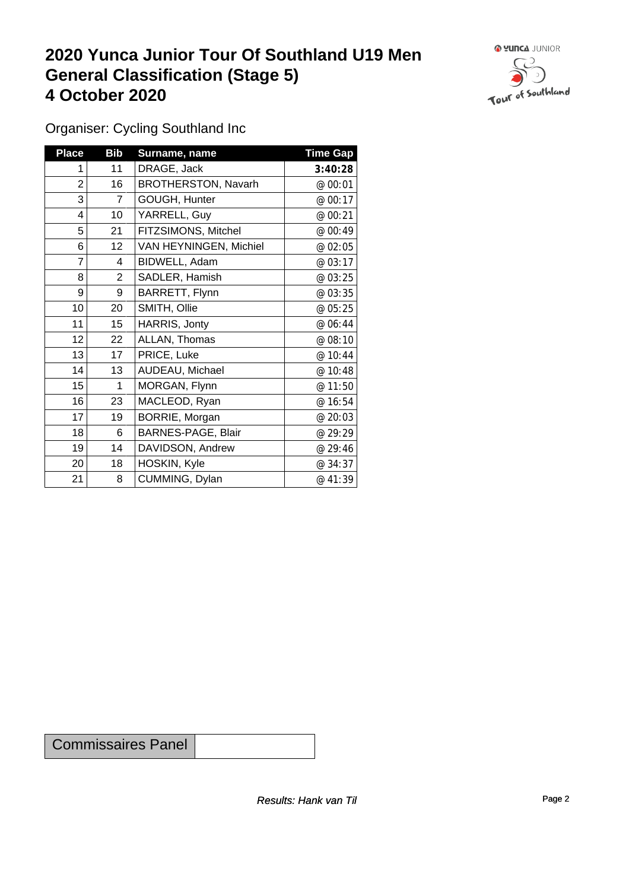## **2020 Yunca Junior Tour Of Southland U19 Men General Classification (Stage 5)**<br>
4 October 2020 **4 October 2020**



Organiser: Cycling Southland Inc

| <b>Place</b> | <b>Bib</b>     | Surname, name          | <b>Time Gap</b> |
|--------------|----------------|------------------------|-----------------|
|              | 11             | DRAGE, Jack            | 3:40:28         |
| 2            | 16             | BROTHERSTON, Navarh    | @ 00:01         |
| 3            | $\overline{7}$ | GOUGH, Hunter          | @ 00:17         |
| 4            | 10             | YARRELL, Guy           | @ 00:21         |
| 5            | 21             | FITZSIMONS, Mitchel    | @ 00:49         |
| 6            | 12             | VAN HEYNINGEN, Michiel | @ 02:05         |
| 7            | 4              | BIDWELL, Adam          | @ 03:17         |
| 8            | $\overline{2}$ | SADLER, Hamish         | @ 03:25         |
| 9            | 9              | BARRETT, Flynn         | @ 03:35         |
| 10           | 20             | SMITH, Ollie           | @ 05:25         |
| 11           | 15             | HARRIS, Jonty          | @ 06:44         |
| 12           | 22             | ALLAN, Thomas          | @ 08:10         |
| 13           | 17             | PRICE, Luke            | @ 10:44         |
| 14           | 13             | AUDEAU, Michael        | @ 10:48         |
| 15           | 1              | MORGAN, Flynn          | @ 11:50         |
| 16           | 23             | MACLEOD, Ryan          | @ 16:54         |
| 17           | 19             | BORRIE, Morgan         | @ 20:03         |
| 18           | 6              | BARNES-PAGE, Blair     | @ 29:29         |
| 19           | 14             | DAVIDSON, Andrew       | @ 29:46         |
| 20           | 18             | HOSKIN, Kyle           | @ 34:37         |
| 21           | 8              | CUMMING, Dylan         | @ 41:39         |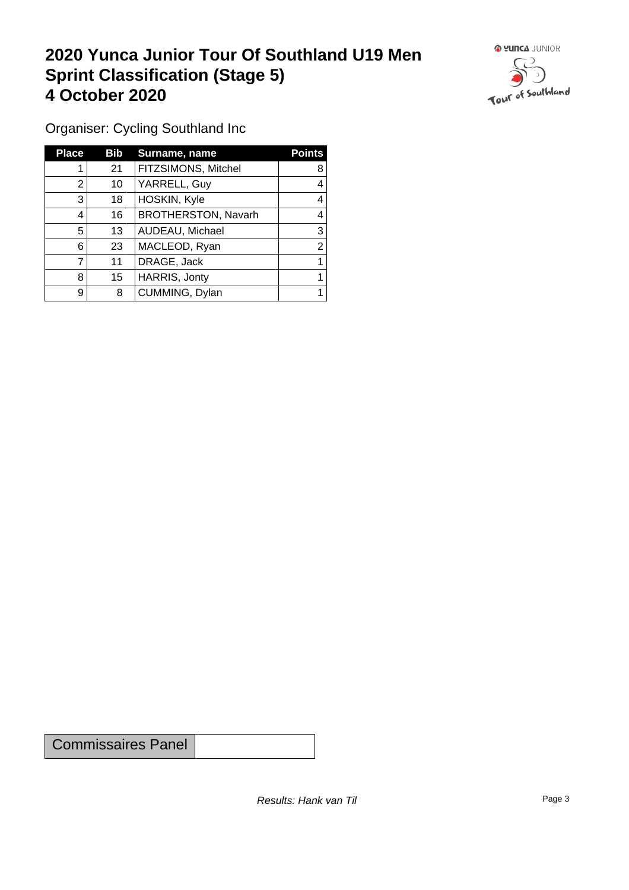## **2020 Yunca Junior Tour Of Southland U19 Men Sprint Classification (Stage 5) 4 October 2020**



Organiser: Cycling Southland Inc

| <b>Place</b> | Bib | Surname, name       | <b>Points</b> |
|--------------|-----|---------------------|---------------|
|              | 21  | FITZSIMONS, Mitchel | 8             |
| 2            | 10  | YARRELL, Guy        |               |
| 3            | 18  | HOSKIN, Kyle        |               |
| 4            | 16  | BROTHERSTON, Navarh | 4             |
| 5            | 13  | AUDEAU, Michael     | 3             |
| 6            | 23  | MACLEOD, Ryan       | ⌒             |
|              | 11  | DRAGE, Jack         |               |
| 8            | 15  | HARRIS, Jonty       |               |
| 9            | 8   | CUMMING, Dylan      |               |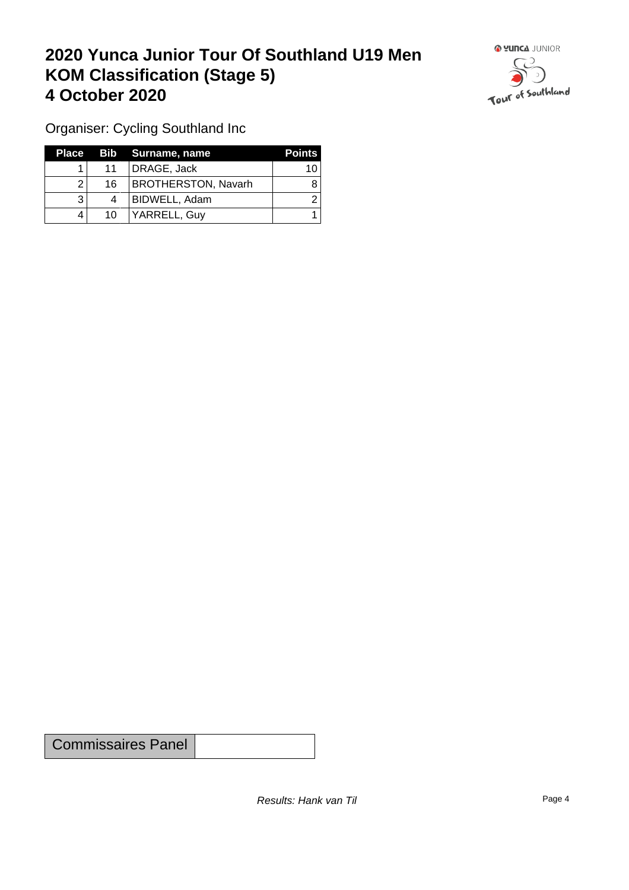## **2020 Yunca Junior Tour Of Southland U19 Men KOM Classification (Stage 5) 4 October 2020**



Organiser: Cycling Southland Inc

|    | Place Bib Surname, name    | <b>Points</b> |
|----|----------------------------|---------------|
| 11 | DRAGE, Jack                | 10            |
| 16 | <b>BROTHERSTON, Navarh</b> |               |
| 4  | BIDWELL, Adam              |               |
| 10 | YARRELL, Guy               |               |